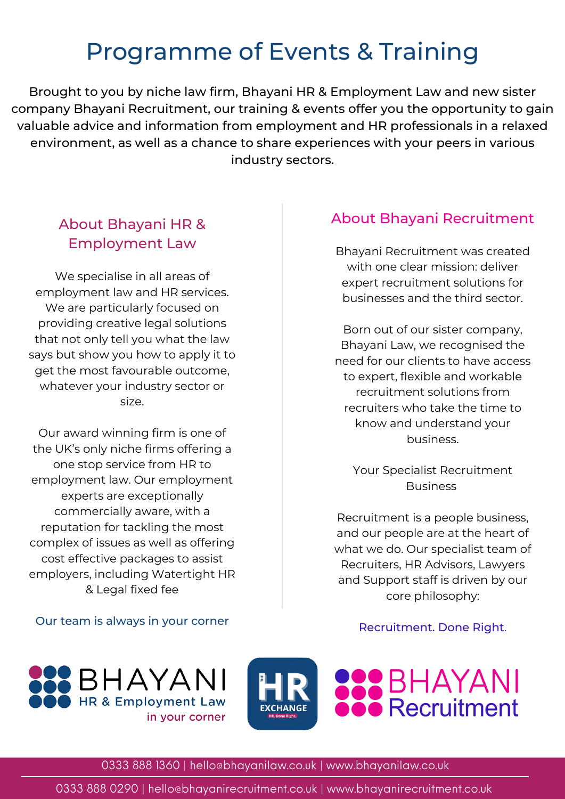# Programme of Events & Training

<span id="page-0-0"></span>Brought to you by niche law firm, Bhayani HR & Employment Law and new sister company Bhayani Recruitment, our training & events offer you the opportunity to gain valuable advice and information from employment and HR professionals in a relaxed environment, as well as a chance to share experiences with your peers in various industry sectors.

## About Bhayani HR & Employment Law

We specialise in all areas of employment law and HR services. We are particularly focused on providing creative legal solutions that not only tell you what the law says but show you how to apply it to get the most favourable outcome, whatever your industry sector or size.

Our award winning firm is one of the UK's only niche firms offering a one stop service from HR to employment law. Our employment experts are exceptionally commercially aware, with a reputation for tackling the most complex of issues as well as offering cost effective packages to assist employers, including Watertight HR & Legal fixed fee

#### Our team is always in your corner

### About Bhayani Recruitment

Bhayani Recruitment was created with one clear mission: deliver expert recruitment solutions for businesses and the third sector.

Born out of our sister company, Bhayani Law, we recognised the need for our clients to have access to expert, flexible and workable recruitment solutions from recruiters who take the time to know and understand your business.

Your Specialist Recruitment Business

Recruitment is a people business, and our people are at the heart of what we do. Our specialist team of Recruiters, HR Advisors, Lawyers and Support staff is driven by our core philosophy:

#### Recruitment. Done Right.





0333 888 1360 | hello@bhayanilaw.co.uk | www.bhayanilaw.co.uk

0333 888 0290 | hello@bhayanirecruitment.co.uk | www.bhayanirecruitment.co.uk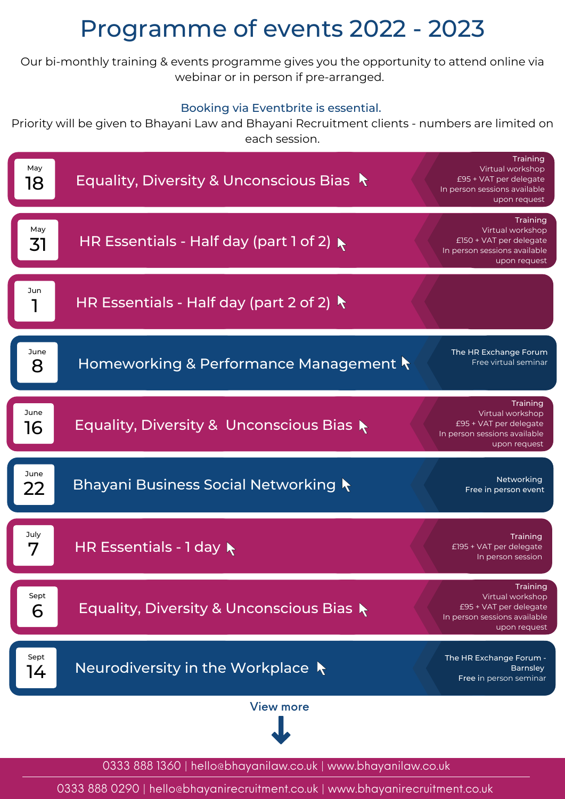## Programme of events 2022 - 2023

Our bi-monthly training & events programme gives you the opportunity to attend online via webinar or in person if pre-arranged.

#### Booking via Eventbrite is essential.

Priority will be given to Bhayani Law and Bhayani Recruitment clients - numbers are limited on each session.



0333 888 1360 | hello@bhayanilaw.co.uk | www.bhayanilaw.co.uk